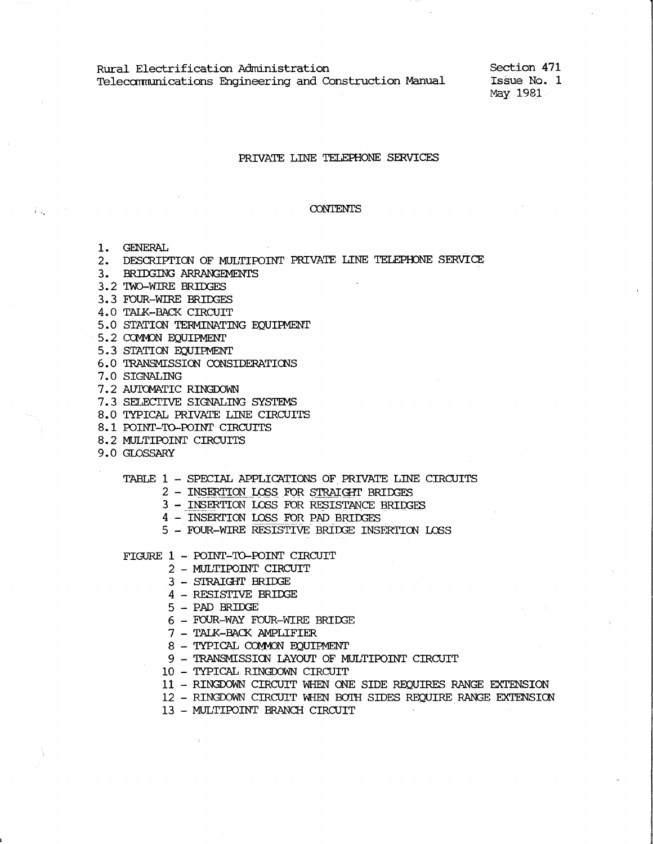Rural Electrification Administration Teleccmnunications Engineering and Construction Manual Section 471 Issue No. 1 May 1981

#### PRIVATE LINE TELEPHONE SERVICES

#### CONTENTS

1. GENERAL

 $\tilde{\mathcal{X}}=\rho_{\mathbf{a}}$ 

- 2. DESCRIPTION OF MULTIPOINT PRIVATE LINE TELEPHONE SERVICE
- 3. BRIDGING ARRANGEMENTS
- 3.2 TWO-WIRE BRIDGES
- 3.3 FOUR-WIRE BRIDGES
- 4.0 TALK-BACK CIRCUIT
- 5.0 STATION TERMINATING EQUIPMENT
- 5.2 COMMON EQUIPMENT
- 5.3 STATION EQUIPMENT
- 6.0 TRANSMISSION CONSIDERATICNS
- 7.0 SIGNALING
- 7.2 AUTOMATIC RINGDOWN
- 7.3 SELECTIVE SIGNALING SYSTEMS
- 8. 0 TYPICAL PRIVATE LINE CIRCUITS
- 8.1 POINT-TO-POINT CIRCUITS
- 8.2 MULTIPOINT CIRCUITS
- 9.0 GLOSSARY
	- TABLE 1 SPECIAL APPLICATIONS OF PRIVATE LINE CIRCUITS
		- 2 INSERTION LOSS FOR STRAIGHT BRIDGES
		- 3 INSERTION LOSS FOR RESISTANCE BRIDGES
		- 4 INSERTION LOSS FOR PAD BRIDGES
		- 5 FOUR-WIRE RESISTIVE-BRIOOE INSERTICN LOSS

FIGURE 1 - POINT-TO-POINT CIRCUIT

- 2 MULTIPOINT CIRCUIT
- 3 STRAIGHT BRIIX3E
- 4 RESISTIVE BRIDGE
- 5 PAD BRIIX3E
- 6 FOUR-WAY FOUR-WIRE BRIDGE
- 7 TALK-BACK AMPLIFIER
- 8 TYPICAL COMMON EQUIPMENT
- 9 TRANSMISSICN LAYOUT OF MULTIPOINT CIRCUIT
- 10 TYPICAL RINGDOWN CIRCUIT
- 11 RINGDOWN CIRCUIT WHEN CNE SIDE REQUIRES RANGE EXTENSION
- 12 RINGDOWN CIRCUIT WHEN BOIH SIDES REQUIRE RANGE EXTENSICN
- 13 MULTIPOINT BRANCH CIRCUIT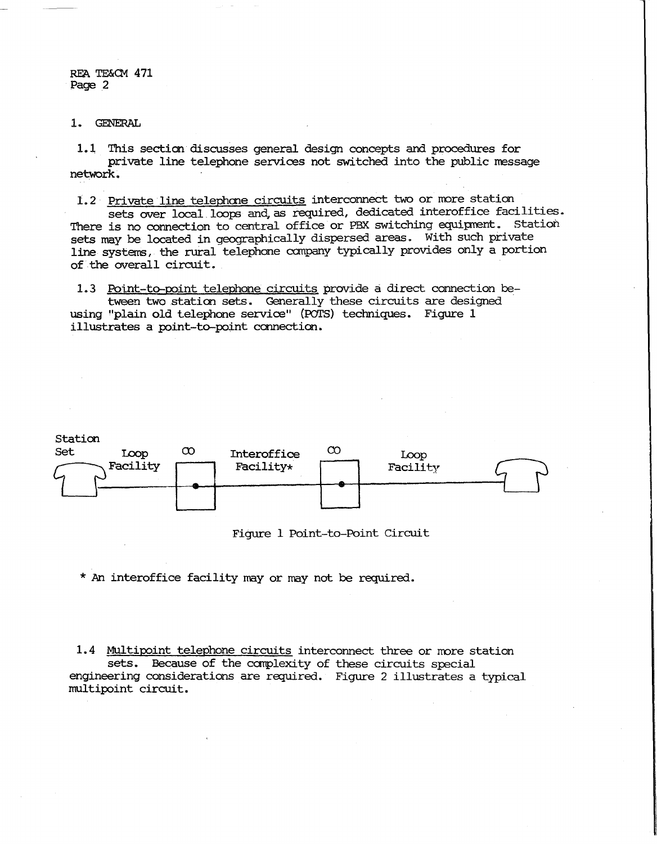1. GENERAL

1.l This secticn·discusses general design concepts and procedures for private line telephone services not switched into the public message network.

1.2 Private line telephone circuits interconnect two or more station

sets over local. loops and, as required, dedicated interoffice facilities. There is no connection to central office or PBX switching equipment. Station sets may be located in geographically dispersed areas. With such private line systems, the rural telephone canpany typically provides only a portion of the overall circuit.

1.3 Point-to-point telephone circuits provide a direct connection between two station sets. Generally these circuits are designed using "plain old telephone service" (POTS) techniques. Figure 1 illustrates a point-to-point connection.



Figure 1 Point-to-Point Circuit

\* An interoffice facility may or may not be required.

1.4 Multipoint telephone circuits interconnect three or more station sets. Because of the carplexity of these circuits special engineering consideraticns are required. Figure 2 illustrates a typical multipoint circuit.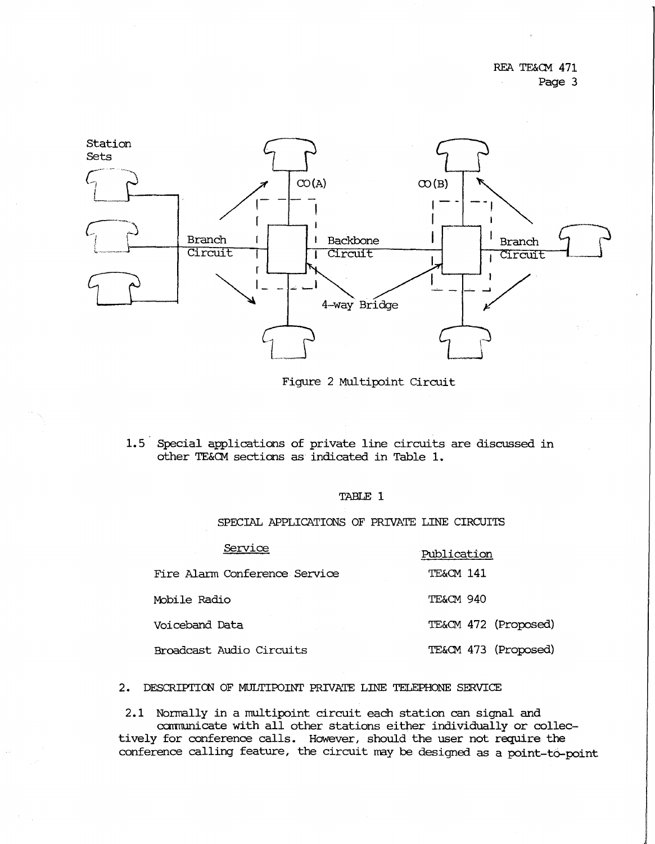

Figure 2 Multipoint Circuit

1.5 Special applications of private line circuits are discussed in other TE&CM sections as indicated in Table **1.** 

# TABLE 1

SPECIAL APPLICATIONS OF PRIVATE LINE CIRCUITS

| Service                       | Publication          |
|-------------------------------|----------------------|
| Fire Alarm Conference Service | TE&CM 141            |
| Mobile Radio                  | TE&CM 940            |
| Voiceband Data                | TE&CM 472 (Proposed) |
| Broadcast Audio Circuits      | TE&CM 473 (Proposed) |

2. DESCRIPTIOO OF MULTIPOINT PRIVATE LINE TELEPHONE SERVICE

2.1 Normally in a multipoint circuit each station can signal and carrnunicate with all other stations either individually or collectively for conference calls. However, should the user not require the conference calling feature, the circuit may be designed as a point-to-point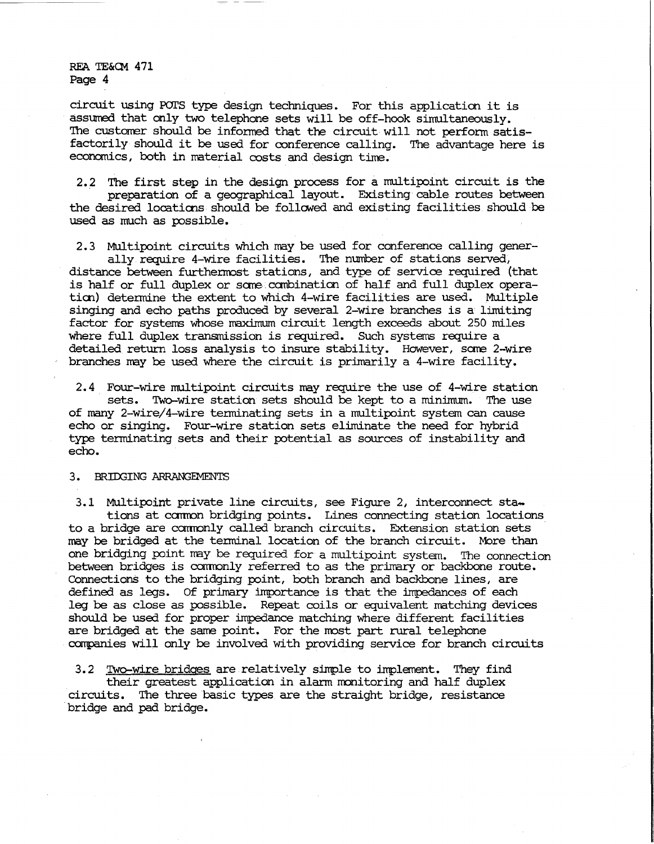circuit using POI'S type design techniques. For this applicaticn it is assumed that only two telephone sets will be off-hook simultaneously. The customer should be informed that the circuit will not perform satisfactorily should it be used for conference calling. The advantage here is economics, both in naterial costs and design time.

2.2 The first step in the design process for a multipoint circuit is the preparation of a geographical layout. Existing cable routes between the desired locaticns should be followed and existing facilities should be used as much as possible.

2.3 Multipoint circuits which nay be used for conference calling generally require 4-wire facilities. The number of stations served,

distance between furthenrost stations, and type of service required (that is half or full duplex or sane.canbinatian of half and full duplex operation) determine the extent to which 4-wire facilities are used. Multiple singing and echo paths produced by several 2-wire branches is a limiting factor for systems whose maximum circuit length exceeds about 250 miles where full duplex transmission is required. Such systems require a detailed return loss analysis to insure stability. However, some 2-wire branches nay be used where the circuit is primarily a 4-wire facility.

2.4 Four-wire multipoint circuits nay require the use of 4-wire station sets. Two-wire station sets should be kept to a minimum. The use of many 2-wire/4-wire terminating sets in a multipoint system can cause echo or singing. Four-wire station sets eliminate the need for hybrid type tenninating sets and their potential as sources of instability and echo.

# 3. BRIDGING ARRANGEMENTS

3.1 Multipoint private line circuits, see Figure 2, interconnect stations at camon bridging points. Lines connecting station locations to a bridge are camonly called branch circuits. Extension station sets may be bridged at the terminal location of the branch circuit. More than one bridging point nay be required for a multipoint system. The connection between bridges is commonly referred to as the primary or backbone route. Connections to the bridging point, both branch and backbone lines, are defined as legs. Of primary importance is that the impedances of each leg be as close as possible. Repeat coils or equivalent natching devices should be used for proper impedance natching where different facilities are bridged at the same point. For the most part rural telephone companies will only be involved with providing service for branch circuits

3.2 Two-wire bridges are relatively simple to implement. They find their greatest application in alarm monitoring and half duplex circuits. The three basic types are the straight bridge, resistance bridge and pad bridge.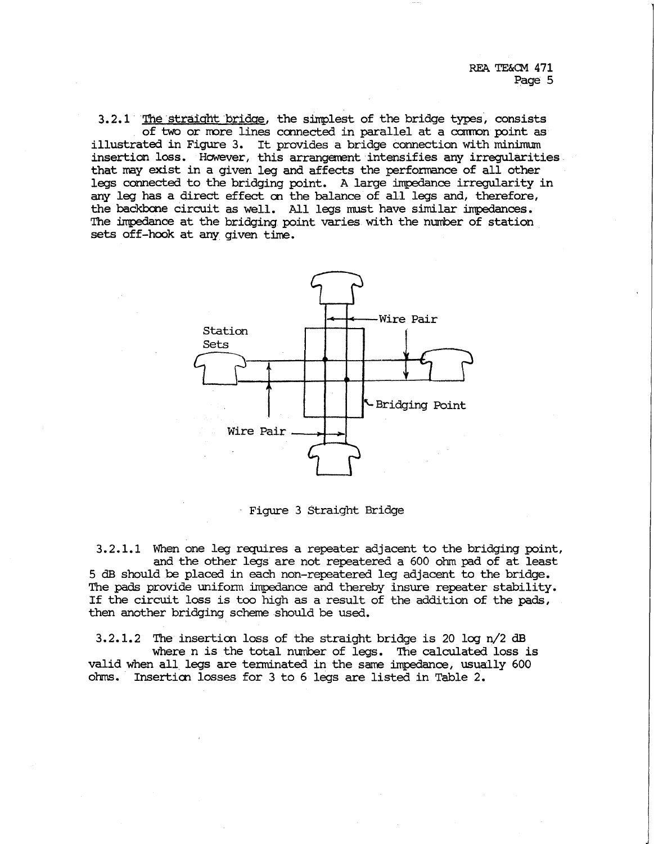3.2.1 The straight bridge, the simplest of the bridge types, consists of two or more lines connected in parallel at a common point as illustrated in Figure 3. It provides a bridge connection with minimum insertion loss. However, this arrangement intensifies any irregularities. that may exist in a given leg and affects the performance of all other legs connected to the bridging point. A large impedance irregularity in *arr.I* leg has a direct effect en the balance of all legs and, therefore, the backbone circuit as well. All legs must have similar impedances. The impedance at the bridging point varies with the number of station sets off-hook at any given time.



· Figure 3 Straight Bridge

 $3.2.1.1$  When one leg requires a repeater adjacent to the bridging point, and the other legs are not repeatered a 600 ohm pad of at least 5 dB should be placed in each non-repeatered leg adjacent to the bridge. The pads provide uniform impedance and thereby insure repeater stability. If the circuit loss is too high as a result of the addition of the pads, then another bridging scheme should be used.

 $3.2.1.2$  The insertion loss of the straight bridge is 20 log  $n/2$  dB where n is the total number of legs. The calculated loss is valid when all. legs are terminated in the same impedance, usually 600 ohms. Inserticn losses for 3 to 6 legs are listed in Table 2.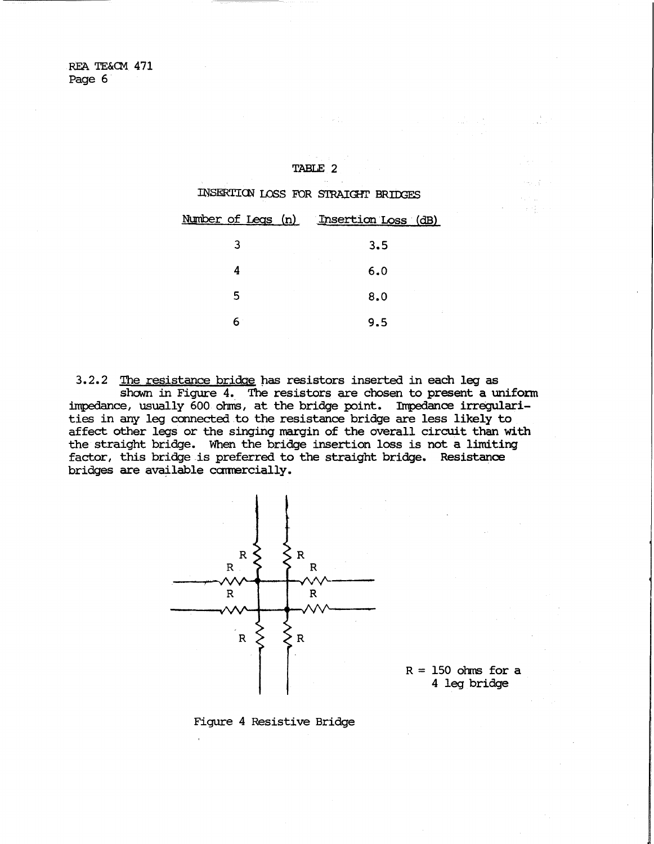#### TABLE 2

INSERTION LOSS FOR STRAIGHT BRIDGES

|   | Number of Legs (n) Insertion Loss (dB) |
|---|----------------------------------------|
| 3 | 3.5                                    |
|   | and the court<br>6.0                   |
| 5 | 8.0                                    |
|   | 9.5                                    |

3.2.2 The resistance bridge has resistors inserted in each leg as shown in Figure 4. The resistors are chosen to present a uniform impedance, usually 600 ohms, at the bridge point. Impedance irregular ties in any leg connected to the resistance bridge are less likely to affect other legs or the singing margin of the overall circuit than with the straight bridge. When the bridge insertion loss is not a limiting factor, this bridge is preferred to the straight bridge. Resistance bridges are available camercially.



 $R = 150$  ohms for a 4 leg bridge

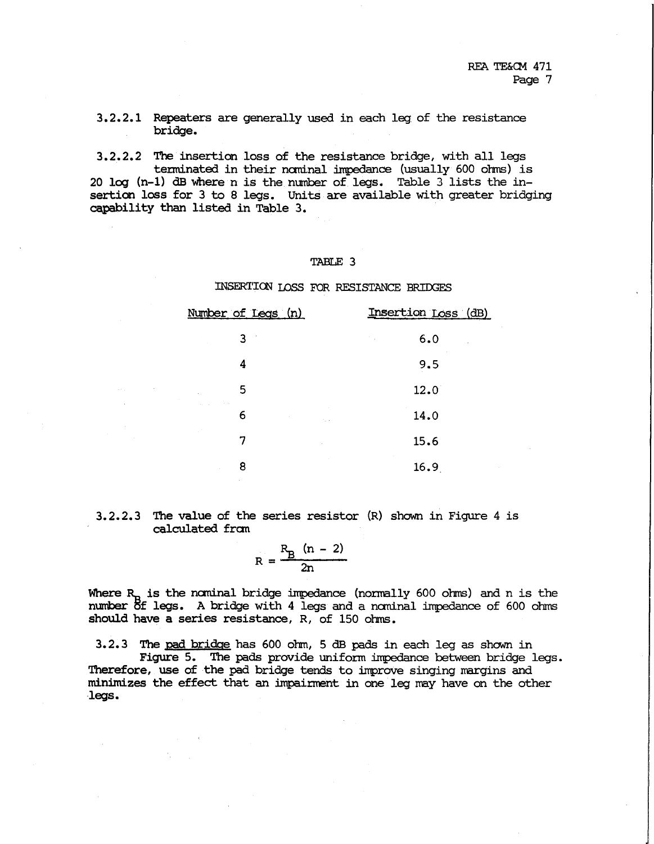3.2.2.1 Repeaters are generally used in each leg of the resistance bridge.

3.2.2.2 The insertion loss of the resistance bridge, with all legs  $t$ erminated in their nominal impedance (usually  $600$  olms) is 20 log (n-1) dB where n is the number of legs. Table 3 lists the insertion loss for 3 to 8 legs. Units are available with greater bridging capability than listed in Table 3.

# TABLE 3

# INSERTICN LOSS FOR RESISTANCE BRIOOES

| <u>Number of Legs (n)</u>     | Insertion Loss (dB)        |
|-------------------------------|----------------------------|
| 3<br>$\overline{\phantom{a}}$ | 6.0<br>$\sim 10^{11}$ km s |
| 4                             | 9.5                        |
| 5<br>$\sim$                   | 12.0                       |
| $\Delta_{\rm{max}}$<br>6      | 14.0<br><b>College</b>     |
|                               | 15.6                       |
| 8                             | 16.9                       |

3.2.2.3 The value of the series resistor (R) shown in Figure 4 is calculated fran

$$
R = \frac{R_B (n - 2)}{2n}
$$

Where  $R_p$  is the nominal bridge impedance (normally 600 ohms) and n is the number  $5f$  legs. A bridge with 4 legs and a nominal impedance of 600 ohms should have a series resistance, R, of 150 ohms.

3.2.3 The pad bridge has 600 ohm, 5 dB pads in each leg as shown in Figure 5. The pads provide uniform impedance between bridge legs. Therefore, use of the pad bridge tends to improve singing margins and minimizes the effect that an impairment in one leg may have an the other •legs.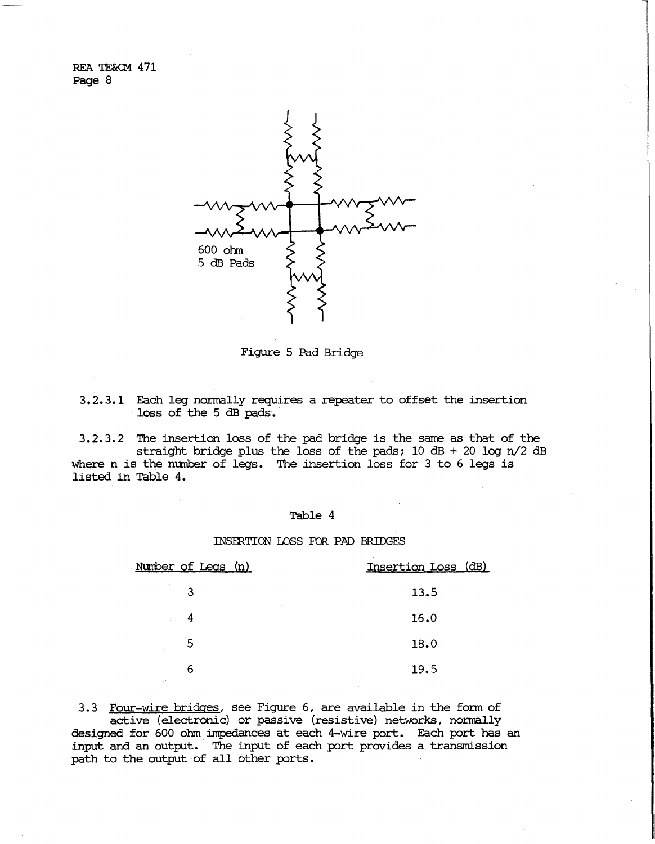

Figure 5 Pad Bridge

3.2.3.1 Each leg normally requires a repeater to offset the insertion loss of the 5 dB pads.

3.2.3.2 The insertion loss of the pad bridge is the sane as that of the straight bridge plus the loss of the pads;  $10$  dB + 20 log n/2 dB where n is the number of legs. The insertion loss for 3 to 6 legs is listed in Table 4.

### Table 4

### INSERTION LOSS FOR PAD BRIDGES

| <u>Number of Legs (n)</u> | Insertion Loss (dB) |
|---------------------------|---------------------|
| 3                         | 13.5                |
| 4                         | 16.0                |
| 5<br>$\sim$               | 18.0                |
| 6                         | 19.5                |

3.3 Four-wire bridges, see Figure 6, are available in the form of active (electronic) or passive (resistive) networks, nornally designed for 600 ohm impedances at each 4-wire port. Each port has an input and an output. ' The input of each port provides a transmission path to the output of all other ports.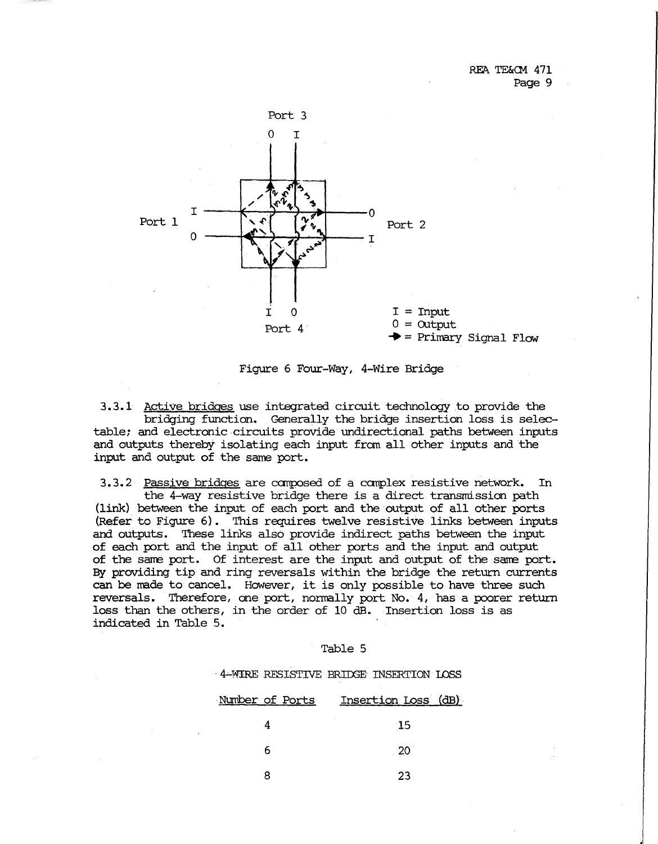

Figure 6 Four-Way, 4-Wire Bridge

3.3.1 Active bridges use integrated circuit technology to provide the bridging function. Generally the bridge insertion loss is selectable; and electronic circuits provide undirectional paths between inputs and outputs thereby isolating each input from all other inputs and the input and output of the same port.

3.3.2 Passive bridges are composed of a complex resistive network. In the 4-way resistive bridge there is a direct transmission path (link) between the input of each port and the output of all other ports (Refer to Figure 6). This requires twelve resistive links between inputs and outputs. These links also provide indirect paths between the input of each port and the input of all other ports and the input and output of the same port. Of interest are the input and output of the same port. By providing tip and ring reversals within the bridge the return currents can be made to cancel. However, it is only possible to have three such reversals. Therefore, one port, normally port No. 4, has a poorer return loss than the others, in the order of 10 dB. Insertion loss is as indicated in Table 5.

#### Table 5

·· 4.;..1,i/IRE RESISTIVE BRIOOE INSERTION LOSS

| Number of Ports | Insertion Loss (dB) |
|-----------------|---------------------|
|                 | 15                  |
|                 | 20 <sup>°</sup>     |
|                 | 23                  |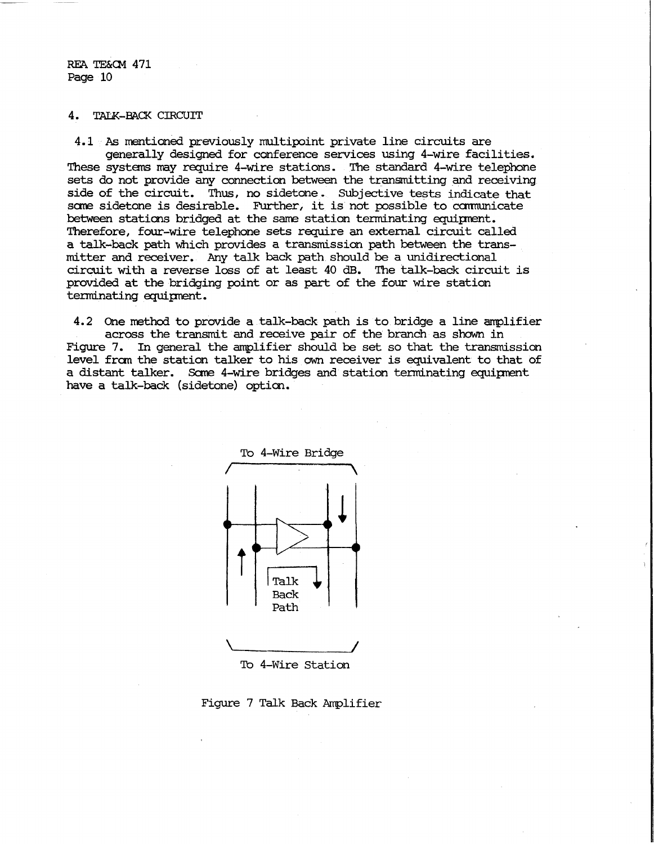**RF.A TE&Q.1 471**  Page 10

# **4. TALK-BACK CIRCUIT**

4.1 'As mentioned previously multipoint private line circuits are generally designed for conference services using 4-wire facilities. These systems may require 4-wire stations. The standard 4-wire telephone sets do not provide any connection between the transmitting and receiving side of the circuit. Thus, no sidetone. Subjective tests indicate that some sidetone is desirable. Further, it is not possible to communicate between staticns bridged at the sane station tenninating equipnent. Therefore, four-wire telephone sets require an external circuit called a talk--back path which provides a transmission path between the transmitter and receiver. Any talk back path should be a unidirectional circuit with a reverse loss of at least 40 dB. The talk-back circuit is provided at the bridging point or as part of the four wire station tenninating equipnent.

4.2 One method to provide a talk-back path is to bridge a line amplifier across the transmit and receive pair of the branch as shown in Figure 7. In general the amplifier should be set so that the transmission level fran the station talker to his own receiver is equivalent to that of a distant talker. Sane 4-wire bridges and station tenninating equipnent have a talk-back (sidetone) option.



Figure 7 Talk Back Amplifier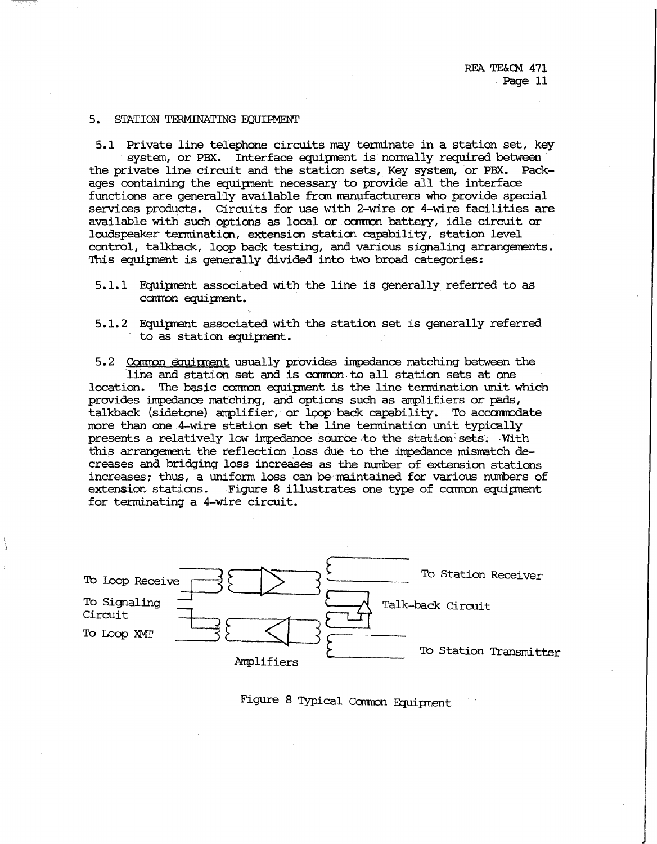#### 5. STATION TERMINATING EQUIPMENT

5.1 Private line telephone circuits may terminate in a station set, key system, or PBX. Interface equipnent is normally required between the private line circuit and the station sets, Key system, or PBX. Packages containing the equipnent necessary to provide all the interface functions are generally available from manufacturers who provide special services products. Circuits for use with 2-wire or 4-wire facilities are available with such options as local or camon battery, idle circuit or loudspeaker termination, extensicn staticn capability, station level control, talkback, loop back testing, and various signaling arrangements. This equipment is generally divided into two broad categories:

5.1.1 Fquipnent associated with the line is generally referred to as common equipment.

5.1.2 Fquipnent associated with the station set is generally referred to as station equipnent.

5.2 Connon eqµipnent usually provides impedance matching between the line and station set and is camon to all station sets at one location. The basic common equipment is the line termination unit which provides impedance matching, and options such as amplifiers or pads, talkback (sidetone) amplifier, or loop back capability. To accommodate more than one 4-wire station set the line termination unit typically presents a relatively low impedance source to the station sets. With this arrangement the reflection loss due to the impedance mismatch decreases and bridging loss increases as the number of extension stations increases; thus, a unifonn loss can be maintained for various numbers of extension stations. Figure 8 illustrates one type of common equipment for terminating a 4-wire circuit.



Figure 8 Typical Camon Equipnent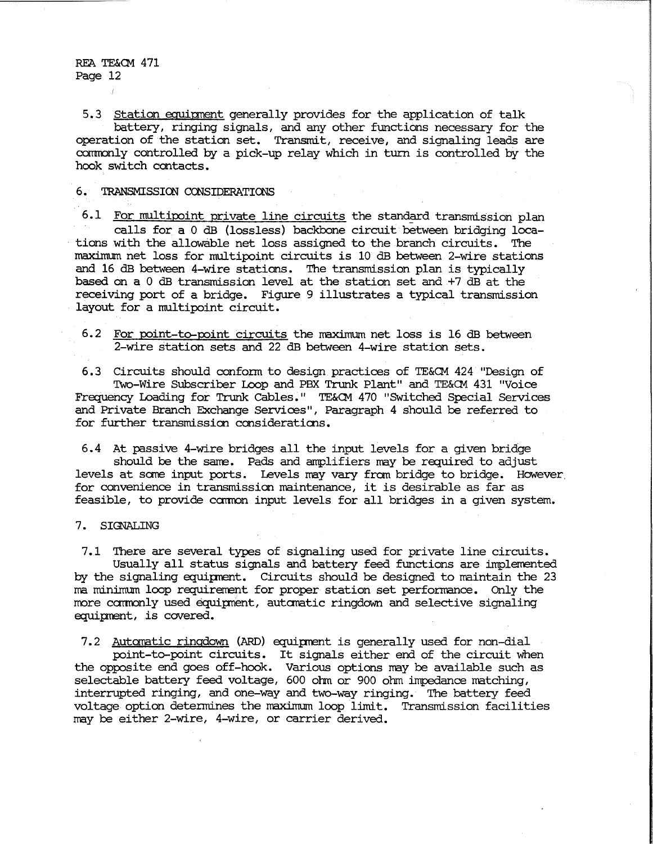5.3 Station equipment generally provides for the application of talk battery, ringing signals, and any other functions necessary for the operation of the station set. Transmit, receive, and signaling leads are comronly controlled by a pick-up relay which in turn is controlled by the hook switch contacts.

## **6. TRANSMISSICN CCNSIDERATICNS**

6.1 For multipoint private line circuits the standard transmission plan calls for a 0 dB (lossless) backbone circuit between bridging locations with the allowable net loss assigned to the branch circuits. The maximum net loss for multipoint circuits is 10 dB between 2-wire stations and 16 dB between 4-wire stations. The transmission plan is typically based on a 0 dB transmission level at the station set and +7 dB at the receiving port of a bridge. Figure 9 illustrates a typical transmission layout for a multipoint circuit.

6.2 For roint-to-roint circuits the maximum net loss is 16 dB between 2-wire station sets and 22 dB between 4-wire station sets.

6.3 Circuits should conform to design practices of TE&CM 424 "Design of Two-Wire Subscriber Loop and PBX Trunk Plant" and TE&CM 431 "Voice Frequency Loading for Trunk Cables." TE&CM 470 "SWitched Special Services and Private Branch Exchange Services", Paragraph 4 should be referred to for further transmission considerations.

6.4 At passive 4-wire bridges all the input levels for a given bridge should be the same. Pads and amplifiers may be required to adjust levels at sane input ports. levels may vary from bridge to bridge. However. for convenience in transmission maintenance, it is desirable as far as feasible, to provide common input levels for all bridges in a given system.

# 7. SIGNALING

7.1 There are several types of signaling used for private line circuits. Usually all status signals and battery feed functions are implemented by the signaling equiprent. Circuits should be designed to maintain the 23 ma minimum loop requirement for proper station set performance. Only the more camonly used equipnent, autaratic ringdown and selective signaling equipment, is covered.

7.2 Automatic ringdown (ARD) equipment is generally used for non-dial

point-to-point circuits. It signals either end of the circuit when the opposite end goes off-hook. Various options may be available such as selectable battery feed voltage, 600 ohm or 900 ohm impedance matching, interrupted ringing, and one-way and two-way ringing. The battery feed voltage option determines the maximum loop limit. Transmission facilities may be either 2-wire, 4-wire, or carrier derived.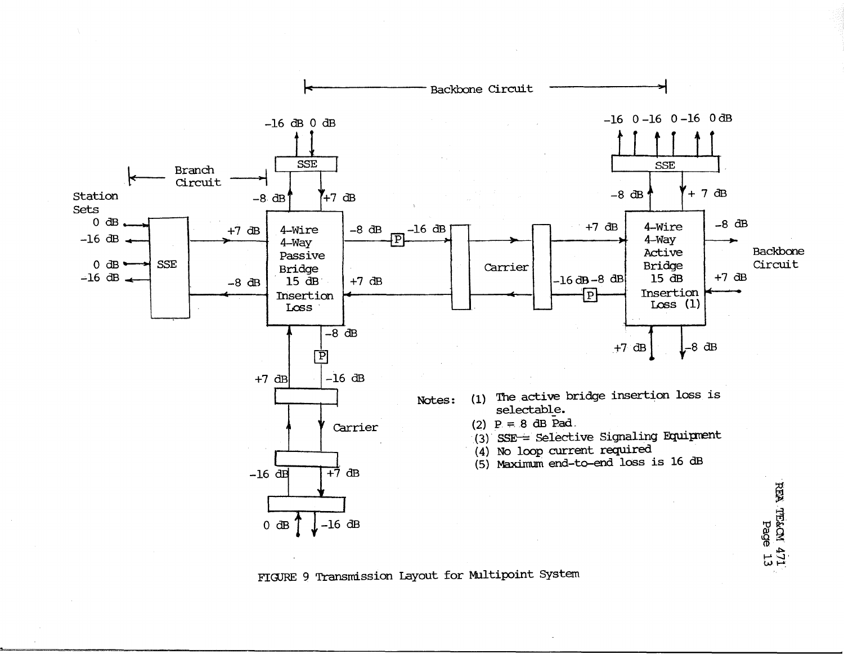

FIGURE 9 Transmission Layout for Multipoint System

 $\frac{1}{2}$  and  $\frac{1}{2}$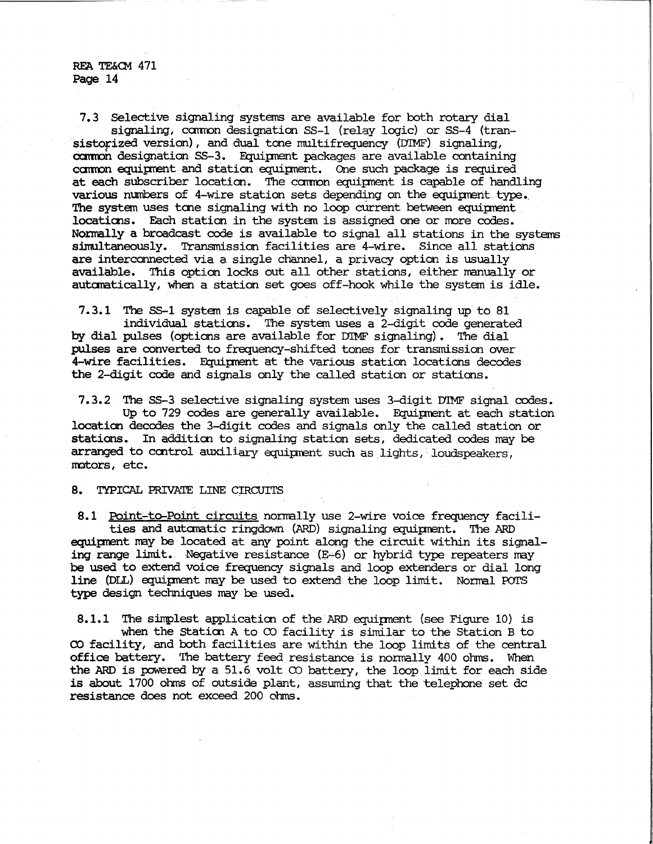7.3 Selective signaling systems are available for both rotary dial signaling, common designation SS-1 (relay logic) or SS-4 (tran-<br>sistorized version), and dual tone multifrequency (DIMF) signaling. common designation SS-3. Equipment packages are available containing camon equiprent and station equipnent. One such package is required at each subscriber location. The camon equipnent is capable of handling various numbers of 4-wire station sets depending on the equipment type. The system uses tone signaling with no loop current between equipment locations. Each station in the system is assigned one or more codes. Normally a broadcast code is available to signal all stations in the systems simultaneously. Transmission facilities are 4-wire. Since all stations are interconnected via a single channel, a privacy option is usually available. This option locks out all other stations, either manually or autanatically, when a station set goes off-hook while the system is idle.

7.3.1 The SS-1 systan is capable of selectively signaling up to 81 individual staticns. The systan uses a 2-digit code generated by dial pulses (options are available for DIMF signaling). The dial pulses are converted to frequency-shifted tones for transmission over 4-wire facilities. Equipnent at the various station locations decodes the 2-digit code and signals only the called station or staticns.

7.3.2 The SS-3 selective signaling system uses 3-digit DIMF signal codes. Up to 729 codes are generally available. Equipment at each station location decodes the 3-digit codes and signals only the called station or stations. In additioo to signaling station sets, dedicated codes may be arranged to control auxiliary equipment such as lights, loudspeakers, Imtors, etc.

**8. TYPICAL PRIVATE LINE CIRCUITS** 

8.1 Point-to-Point circuits normally use 2-wire voice frequency facilities and automatic ringdown (ARD) signaling equipment. The ARD equipnent may be located at any point along the circuit within its signaling range limit. Negative resistance  $(E=6)$  or hybrid type repeaters may be used to extend voice frequency signals and loop extenders or dial long line (DLL) equipment may be used to extend the loop limit. Normal POTS type design techniques may be used.

8.1.1 The simplest application of the ARD equipment (see Figure 10) is when the Station A to  $\infty$  facility is similar to the Station B to CO facility, and both facilities are within the loop limits of the central office battery. The battery feed resistance is normally 400 ohms. When the ARD is powered by a 51.6 volt  $\infty$  battery, the loop limit for each side is about 1700 ohms of outside plant, assuming that the telephone set de resistance does not exceed 200 ohms.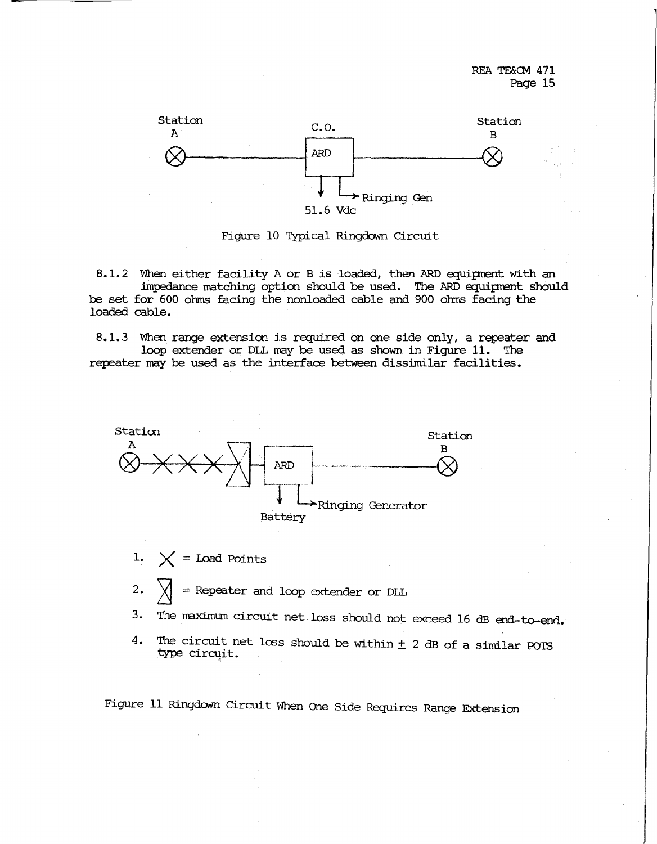

Figure 10 Typical Ringdown Circuit

8.1.2 When either facility A or B is loaded, then ARD equipment with an impedance matching option should be used. The ARD equiprent should be set for 600 ohms facing the nonloaded cable and 900 ohrrs facing the loaded cable.

8.1.3 When range extension is required on one side only, a repeater and loop extender or DLL may be used as shown in Figure 11. The repeater may be used as the interface between dissimilar facilities.



1.  $\bigtimes$  = Load Points

2.  $\chi$  = Repeater and loop extender or DLL

3. The maximum circuit net loss should not exceed 16 dB end-to-end.

4. The circuit net loss should be within  $\pm$  2 dB of a similar POTS type circuit.

Figure 11 Ringdam Circuit When One Side Requires Range Extension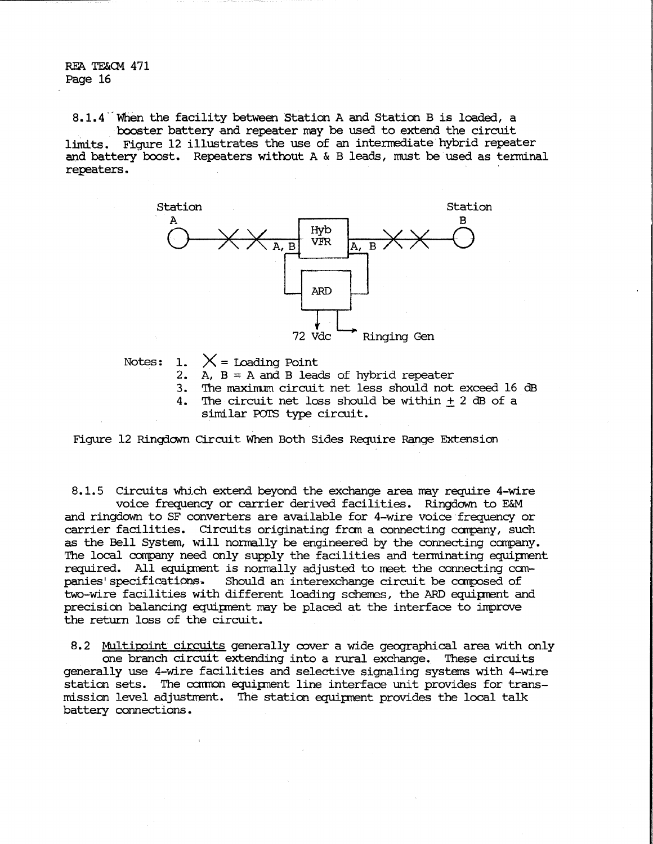8.1.4 When the facility between Station A and Station B is loaded, a booster battery and repeater may be used to extend the circuit limits. Figure 12 illustrates the use of an intermediate hybrid repeater and battery boost. Repeaters without A & B leads, must be used as terminal repeaters.



Notes: 1.  $X =$  Loading Point

- 2. A,  $B = A$  and B leads of hybrid repeater
- 3. The maxinum circuit net less should not exceed 16 dB
- 4. The circuit net loss should be within + 2 dB of a
	- similar POTS type circuit.

Figure 12 Ringdown Circuit When Both Sides Require Range Extension

8.1.5 Circuits which extend beyond the exchange area may require 4-wire voice frequency or carrier derived facilities. Ringdown to E&M and ringdown to SF converters are available for 4-wire voice frequency or carrier facilities. Circuits originating fran a connecting canpany, such as the Bell System, will normally be engineered by the connecting canpany. The local conpany need only supply the facilities and tenninating equipnent required. All equipnent is normally adjusted to meet the connecting canpanies' specifications. Should an interexchange circuit be carposed of two-wire facilities with different loading scherres, the ARD equipnent and precision balancing equipment may be placed at the interface to improve the return loss of the circuit.

8.2 Multipoint circuits generally cover a wide geographical area with only one branch circuit extending into a rural exchange. These circuits generally use 4-wire facilities and selective signaling systems with 4-wire station sets. The common equipment line interface unit provides for transmission level adjustment. The station equipnent provides the local talk battery connections.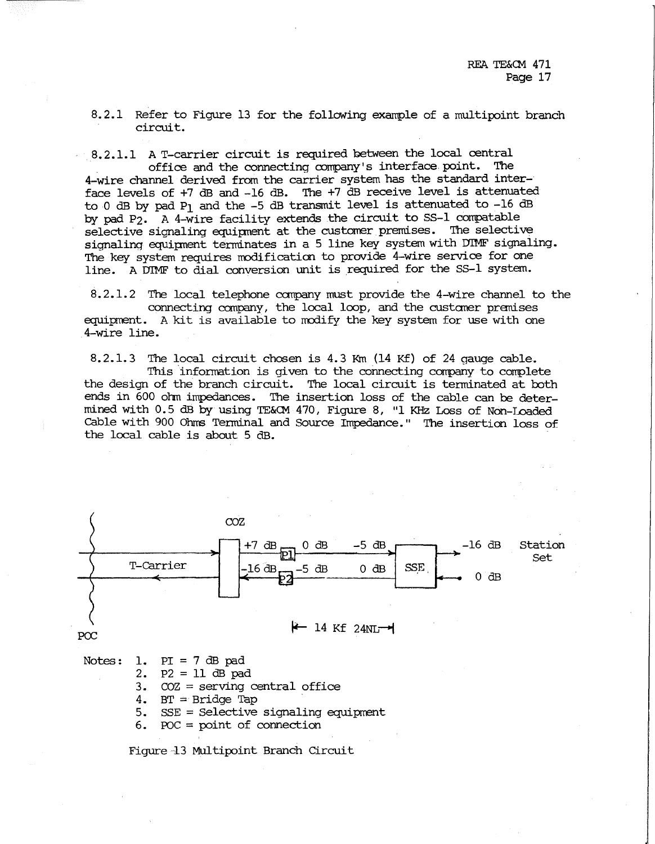8.2.1 Refer to Figure 13 for the following example of a multipoint branch circuit.

8.2.1.1 A T-carrier circuit is required between the local central office and the connecting company's interface point. The 4-wire channel derived from the carrier system has the standard interface levels of +7 dB and -16 dB. The +7 dB receive level is attenuated to O dB by pad P1 and the -5 dB transmit level is attenuated to -16 dB by pad P2. A 4-wire facility extends the circuit to SS-1 conpatable selective signaling equipnent at the customer premises. The selective signaling equipnent terminates in a 5 line key system with DIMF signaling. The key system requires modification to provide 4-wire service for one line. A DIMF to dial conversion unit is required for the SS-1 system.

8.2.1.2 The local telephone company must provide the 4-wire channel to the connecting company, the local loop, and the custaner pranises equipment. A kit is available to modify the key system for use with one 4-wire line.

8. 2. 1. 3 The local circuit chosen is 4. 3 Km (14 Kf) of 24 gauge cable. This information is given to the connecting corrpany to complete the design of the branch circuit. The local circuit is terminated at both ends in 600 ohm impedances. The insertion loss of the cable can be determined with 0.5 dB by using 'IE&CM 470, Figure 8, "l KHz Loss of Non-Loaded cable with 900 Ohrrs Terminal and Source Impedance. " The insertion loss of the local cable is about 5 dB.



- 
- 3. COZ = serving central office
- 4. BT  $=$  Bridge Tap
- 5.  $SSE = Selective signaling equipment$

6. POC = point of connection

Figure 13 Multipoint Branch Circuit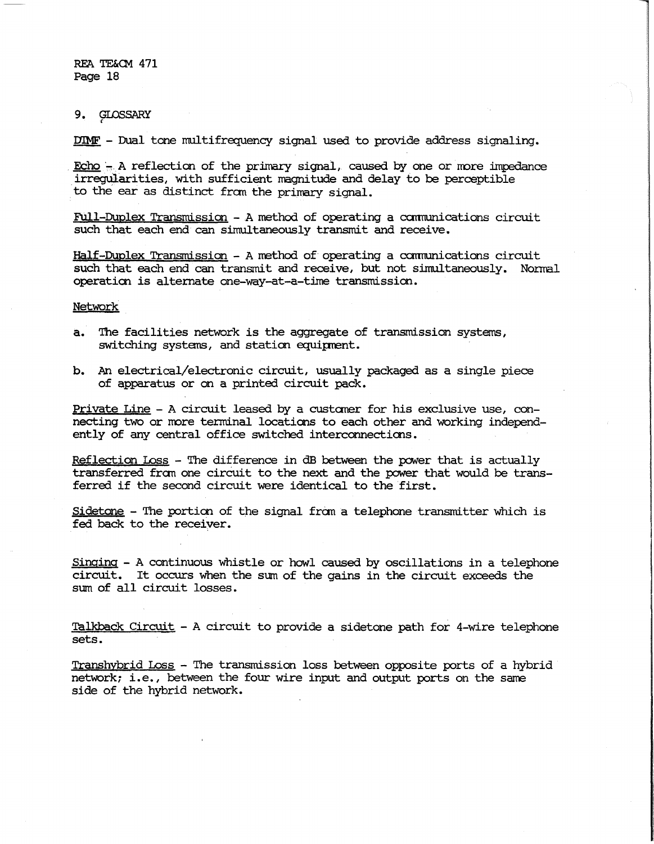9. GLOSSARY *,:* 

DIME' - Dual tone multifrequency signal used to provide address signaling •

 $\frac{Echo}{n}$ . A reflection of the primary signal, caused by one or more impedance irregularities, with sufficient nagnitude and delay to be perceptible to the ear as distinct from the primary signal.

Full-Duplex Transmission - A method of operating a cannunications circuit such that each end can simultaneously transmit and receive.

Half-Duplex Transmission - A rrethod of operating a carmunications circuit such that each end can transmit and receive, but not simultaneously. Normal operaticn is alternate one-way-at-a-time transmission.

Network

- a. The facilities network is the aggregate of transmission systems, switching systems, and station equipment.
- b. An electrical/electronic circuit, usually packaged as a single piece of apparatus or an a printed circuit pack.

Private Line - A circuit leased by a custaner for his exclusive use, connecting two or more terminal locations to each other and working independently of any central office switched interconnections.

Reflection Loss - The difference in dB between the power that is actually transferred fran one circuit to the next and the power that would be transferred if the second circuit were identical to the first.

Sidetone - The portion of the signal from a telephone transmitter which is fed back to the receiver.

Singing - A continuous whistle or howl caused by oscillations in a telephone circuit. It occurs when the sum of the gains in the circuit exceeds the sum of all circuit losses.

Talkback Circuit - A circuit to provide a sidetone path for 4-wire telephone sets.

Transhybrid Loss - The transmission loss between opposite ports of a hybrid network; i.e. , between the four wire input and output ports on the same side of the hybrid network.